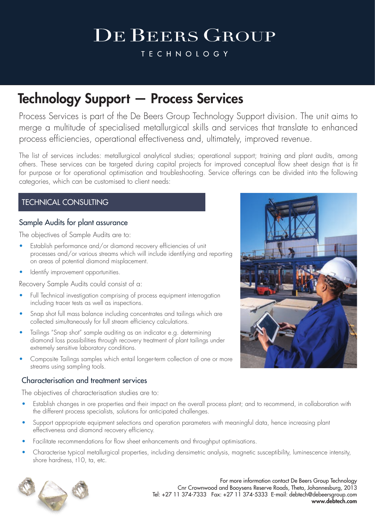# **DE BEERS GROUP**

**TECHNOLOGY** 

### Technology Support — Process Services

Process Services is part of the De Beers Group Technology Support division. The unit aims to merge a multitude of specialised metallurgical skills and services that translate to enhanced process efficiencies, operational effectiveness and, ultimately, improved revenue.

The list of services includes: metallurgical analytical studies; operational support; training and plant audits, among others. These services can be targeted during capital projects for improved conceptual flow sheet design that is fit for purpose or for operational optimisation and troubleshooting. Service offerings can be divided into the following categories, which can be customised to client needs:

### TECHNICAL CONSULTING

#### Sample Audits for plant assurance

The objectives of Sample Audits are to:

- Establish performance and/or diamond recovery efficiencies of unit processes and/or various streams which will include identifying and reporting on areas of potential diamond misplacement.
- Identify improvement opportunities.

Recovery Sample Audits could consist of a:

- Full Technical investigation comprising of process equipment interrogation including tracer tests as well as inspections.
- Snap shot full mass balance including concentrates and tailings which are collected simultaneously for full stream efficiency calculations.
- Tailings "Snap shot" sample auditing as an indicator e.g. determining diamond loss possibilities through recovery treatment of plant tailings under extremely sensitive laboratory conditions.
- Composite Tailings samples which entail longer-term collection of one or more streams using sampling tools.

#### Characterisation and treatment services

The objectives of characterisation studies are to:

- Establish changes in ore properties and their impact on the overall process plant; and to recommend, in collaboration with the different process specialists, solutions for anticipated challenges.
- Support appropriate equipment selections and operation parameters with meaningful data, hence increasing plant effectiveness and diamond recovery efficiency.
- Facilitate recommendations for flow sheet enhancements and throughput optimisations.
- Characterise typical metallurgical properties, including densimetric analysis, magnetic susceptibility, luminescence intensity, shore hardness, t10, ta, etc.



For more information contact De Beers Group Technology Cnr Crownwood and Booysens Reserve Roads, Theta, Johannesburg, 2013 Tel: +27 11 374-7333 Fax: +27 11 374-5333 E-mail: debtech@debeersgroup.com www.debtech.com